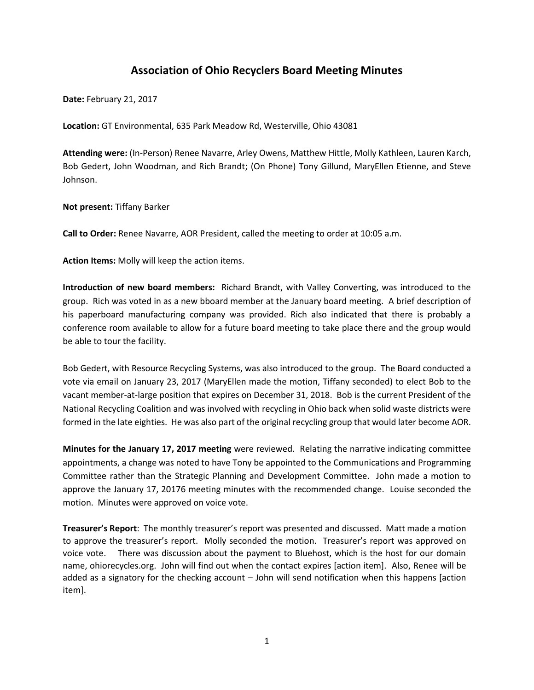# **Association of Ohio Recyclers Board Meeting Minutes**

**Date:** February 21, 2017

**Location:** GT Environmental, 635 Park Meadow Rd, Westerville, Ohio 43081

**Attending were:** (In-Person) Renee Navarre, Arley Owens, Matthew Hittle, Molly Kathleen, Lauren Karch, Bob Gedert, John Woodman, and Rich Brandt; (On Phone) Tony Gillund, MaryEllen Etienne, and Steve Johnson.

**Not present:** Tiffany Barker

**Call to Order:** Renee Navarre, AOR President, called the meeting to order at 10:05 a.m.

**Action Items:** Molly will keep the action items.

**Introduction of new board members:** Richard Brandt, with Valley Converting, was introduced to the group. Rich was voted in as a new bboard member at the January board meeting. A brief description of his paperboard manufacturing company was provided. Rich also indicated that there is probably a conference room available to allow for a future board meeting to take place there and the group would be able to tour the facility.

Bob Gedert, with Resource Recycling Systems, was also introduced to the group. The Board conducted a vote via email on January 23, 2017 (MaryEllen made the motion, Tiffany seconded) to elect Bob to the vacant member-at-large position that expires on December 31, 2018. Bob is the current President of the National Recycling Coalition and was involved with recycling in Ohio back when solid waste districts were formed in the late eighties. He was also part of the original recycling group that would later become AOR.

**Minutes for the January 17, 2017 meeting** were reviewed. Relating the narrative indicating committee appointments, a change was noted to have Tony be appointed to the Communications and Programming Committee rather than the Strategic Planning and Development Committee. John made a motion to approve the January 17, 20176 meeting minutes with the recommended change. Louise seconded the motion. Minutes were approved on voice vote.

**Treasurer's Report**: The monthly treasurer's report was presented and discussed. Matt made a motion to approve the treasurer's report. Molly seconded the motion. Treasurer's report was approved on voice vote. There was discussion about the payment to Bluehost, which is the host for our domain name, ohiorecycles.org. John will find out when the contact expires [action item]. Also, Renee will be added as a signatory for the checking account – John will send notification when this happens [action item].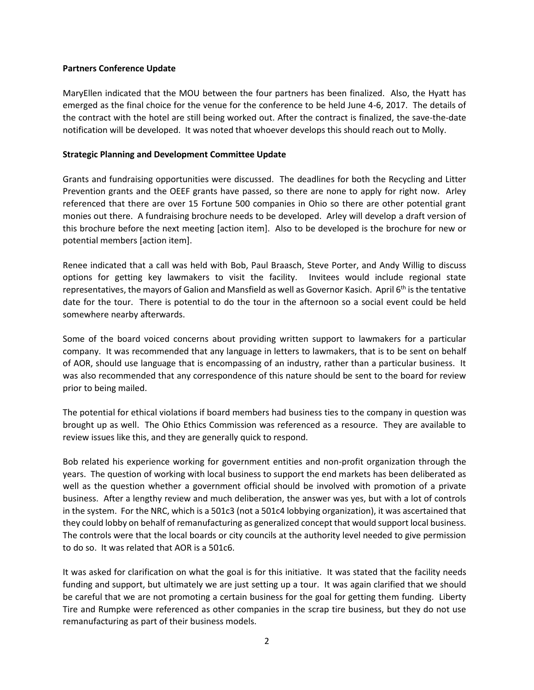### **Partners Conference Update**

MaryEllen indicated that the MOU between the four partners has been finalized. Also, the Hyatt has emerged as the final choice for the venue for the conference to be held June 4-6, 2017. The details of the contract with the hotel are still being worked out. After the contract is finalized, the save-the-date notification will be developed. It was noted that whoever develops this should reach out to Molly.

## **Strategic Planning and Development Committee Update**

Grants and fundraising opportunities were discussed. The deadlines for both the Recycling and Litter Prevention grants and the OEEF grants have passed, so there are none to apply for right now. Arley referenced that there are over 15 Fortune 500 companies in Ohio so there are other potential grant monies out there. A fundraising brochure needs to be developed. Arley will develop a draft version of this brochure before the next meeting [action item]. Also to be developed is the brochure for new or potential members [action item].

Renee indicated that a call was held with Bob, Paul Braasch, Steve Porter, and Andy Willig to discuss options for getting key lawmakers to visit the facility. Invitees would include regional state representatives, the mayors of Galion and Mansfield as well as Governor Kasich. April  $6<sup>th</sup>$  is the tentative date for the tour. There is potential to do the tour in the afternoon so a social event could be held somewhere nearby afterwards.

Some of the board voiced concerns about providing written support to lawmakers for a particular company. It was recommended that any language in letters to lawmakers, that is to be sent on behalf of AOR, should use language that is encompassing of an industry, rather than a particular business. It was also recommended that any correspondence of this nature should be sent to the board for review prior to being mailed.

The potential for ethical violations if board members had business ties to the company in question was brought up as well. The Ohio Ethics Commission was referenced as a resource. They are available to review issues like this, and they are generally quick to respond.

Bob related his experience working for government entities and non-profit organization through the years. The question of working with local business to support the end markets has been deliberated as well as the question whether a government official should be involved with promotion of a private business. After a lengthy review and much deliberation, the answer was yes, but with a lot of controls in the system. For the NRC, which is a 501c3 (not a 501c4 lobbying organization), it was ascertained that they could lobby on behalf of remanufacturing as generalized concept that would support local business. The controls were that the local boards or city councils at the authority level needed to give permission to do so. It was related that AOR is a 501c6.

It was asked for clarification on what the goal is for this initiative. It was stated that the facility needs funding and support, but ultimately we are just setting up a tour. It was again clarified that we should be careful that we are not promoting a certain business for the goal for getting them funding. Liberty Tire and Rumpke were referenced as other companies in the scrap tire business, but they do not use remanufacturing as part of their business models.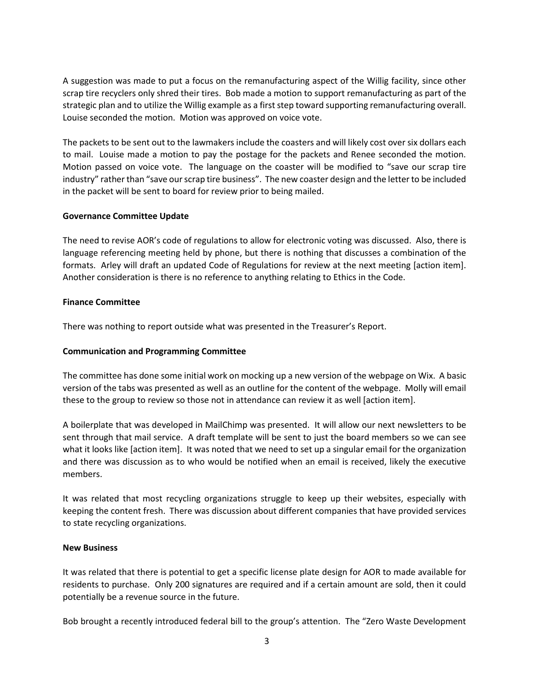A suggestion was made to put a focus on the remanufacturing aspect of the Willig facility, since other scrap tire recyclers only shred their tires. Bob made a motion to support remanufacturing as part of the strategic plan and to utilize the Willig example as a first step toward supporting remanufacturing overall. Louise seconded the motion. Motion was approved on voice vote.

The packets to be sent out to the lawmakers include the coasters and will likely cost over six dollars each to mail. Louise made a motion to pay the postage for the packets and Renee seconded the motion. Motion passed on voice vote. The language on the coaster will be modified to "save our scrap tire industry" rather than "save our scrap tire business". The new coaster design and the letter to be included in the packet will be sent to board for review prior to being mailed.

# **Governance Committee Update**

The need to revise AOR's code of regulations to allow for electronic voting was discussed. Also, there is language referencing meeting held by phone, but there is nothing that discusses a combination of the formats. Arley will draft an updated Code of Regulations for review at the next meeting [action item]. Another consideration is there is no reference to anything relating to Ethics in the Code.

### **Finance Committee**

There was nothing to report outside what was presented in the Treasurer's Report.

# **Communication and Programming Committee**

The committee has done some initial work on mocking up a new version of the webpage on Wix. A basic version of the tabs was presented as well as an outline for the content of the webpage. Molly will email these to the group to review so those not in attendance can review it as well [action item].

A boilerplate that was developed in MailChimp was presented. It will allow our next newsletters to be sent through that mail service. A draft template will be sent to just the board members so we can see what it looks like [action item]. It was noted that we need to set up a singular email for the organization and there was discussion as to who would be notified when an email is received, likely the executive members.

It was related that most recycling organizations struggle to keep up their websites, especially with keeping the content fresh. There was discussion about different companies that have provided services to state recycling organizations.

#### **New Business**

It was related that there is potential to get a specific license plate design for AOR to made available for residents to purchase. Only 200 signatures are required and if a certain amount are sold, then it could potentially be a revenue source in the future.

Bob brought a recently introduced federal bill to the group's attention. The "Zero Waste Development